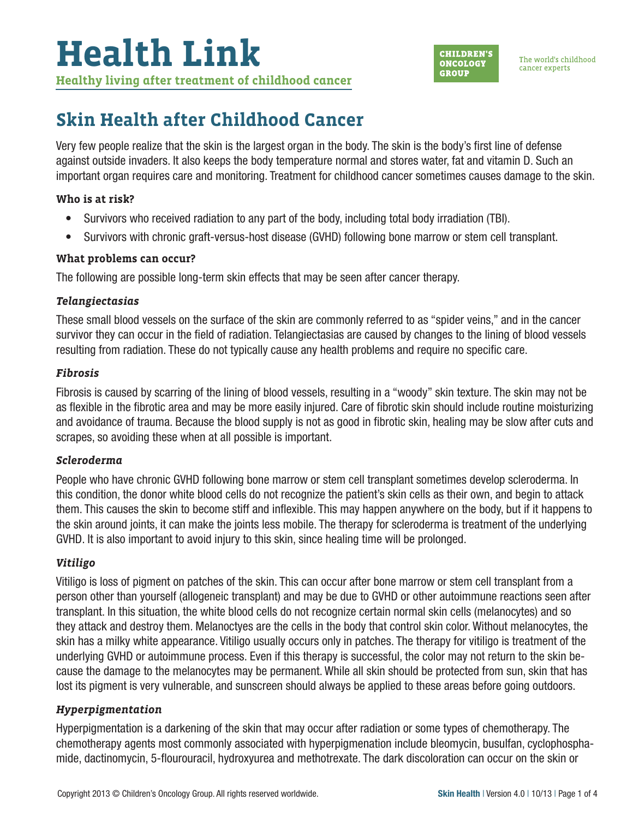

## **Skin Health after Childhood Cancer**

Very few people realize that the skin is the largest organ in the body. The skin is the body's first line of defense against outside invaders. It also keeps the body temperature normal and stores water, fat and vitamin D. Such an important organ requires care and monitoring. Treatment for childhood cancer sometimes causes damage to the skin.

#### **Who is at risk?**

- Survivors who received radiation to any part of the body, including total body irradiation (TBI).
- Survivors with chronic graft-versus-host disease (GVHD) following bone marrow or stem cell transplant.

#### **What problems can occur?**

The following are possible long-term skin effects that may be seen after cancer therapy.

#### *Telangiectasias*

These small blood vessels on the surface of the skin are commonly referred to as "spider veins," and in the cancer survivor they can occur in the field of radiation. Telangiectasias are caused by changes to the lining of blood vessels resulting from radiation. These do not typically cause any health problems and require no specific care.

#### *Fibrosis*

Fibrosis is caused by scarring of the lining of blood vessels, resulting in a "woody" skin texture. The skin may not be as flexible in the fibrotic area and may be more easily injured. Care of fibrotic skin should include routine moisturizing and avoidance of trauma. Because the blood supply is not as good in fibrotic skin, healing may be slow after cuts and scrapes, so avoiding these when at all possible is important.

### *Scleroderma*

People who have chronic GVHD following bone marrow or stem cell transplant sometimes develop scleroderma. In this condition, the donor white blood cells do not recognize the patient's skin cells as their own, and begin to attack them. This causes the skin to become stiff and inflexible. This may happen anywhere on the body, but if it happens to the skin around joints, it can make the joints less mobile. The therapy for scleroderma is treatment of the underlying GVHD. It is also important to avoid injury to this skin, since healing time will be prolonged.

### *Vitiligo*

Vitiligo is loss of pigment on patches of the skin. This can occur after bone marrow or stem cell transplant from a person other than yourself (allogeneic transplant) and may be due to GVHD or other autoimmune reactions seen after transplant. In this situation, the white blood cells do not recognize certain normal skin cells (melanocytes) and so they attack and destroy them. Melanoctyes are the cells in the body that control skin color. Without melanocytes, the skin has a milky white appearance. Vitiligo usually occurs only in patches. The therapy for vitiligo is treatment of the underlying GVHD or autoimmune process. Even if this therapy is successful, the color may not return to the skin because the damage to the melanocytes may be permanent. While all skin should be protected from sun, skin that has lost its pigment is very vulnerable, and sunscreen should always be applied to these areas before going outdoors.

### *Hyperpigmentation*

Hyperpigmentation is a darkening of the skin that may occur after radiation or some types of chemotherapy. The chemotherapy agents most commonly associated with hyperpigmenation include bleomycin, busulfan, cyclophosphamide, dactinomycin, 5-flourouracil, hydroxyurea and methotrexate. The dark discoloration can occur on the skin or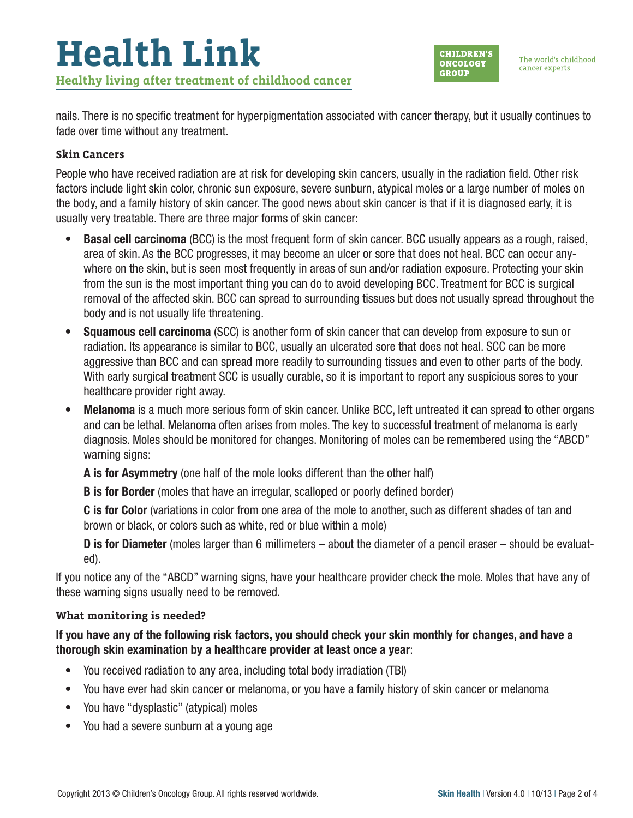

nails. There is no specific treatment for hyperpigmentation associated with cancer therapy, but it usually continues to fade over time without any treatment.

#### **Skin Cancers**

People who have received radiation are at risk for developing skin cancers, usually in the radiation field. Other risk factors include light skin color, chronic sun exposure, severe sunburn, atypical moles or a large number of moles on the body, and a family history of skin cancer. The good news about skin cancer is that if it is diagnosed early, it is usually very treatable. There are three major forms of skin cancer:

- Basal cell carcinoma (BCC) is the most frequent form of skin cancer. BCC usually appears as a rough, raised, area of skin. As the BCC progresses, it may become an ulcer or sore that does not heal. BCC can occur anywhere on the skin, but is seen most frequently in areas of sun and/or radiation exposure. Protecting your skin from the sun is the most important thing you can do to avoid developing BCC. Treatment for BCC is surgical removal of the affected skin. BCC can spread to surrounding tissues but does not usually spread throughout the body and is not usually life threatening.
- Squamous cell carcinoma (SCC) is another form of skin cancer that can develop from exposure to sun or radiation. Its appearance is similar to BCC, usually an ulcerated sore that does not heal. SCC can be more aggressive than BCC and can spread more readily to surrounding tissues and even to other parts of the body. With early surgical treatment SCC is usually curable, so it is important to report any suspicious sores to your healthcare provider right away.
- Melanoma is a much more serious form of skin cancer. Unlike BCC, left untreated it can spread to other organs and can be lethal. Melanoma often arises from moles. The key to successful treatment of melanoma is early diagnosis. Moles should be monitored for changes. Monitoring of moles can be remembered using the "ABCD" warning signs:

A is for Asymmetry (one half of the mole looks different than the other half)

**B** is for Border (moles that have an irregular, scalloped or poorly defined border)

C is for Color (variations in color from one area of the mole to another, such as different shades of tan and brown or black, or colors such as white, red or blue within a mole)

D is for Diameter (moles larger than 6 millimeters – about the diameter of a pencil eraser – should be evaluated).

If you notice any of the "ABCD" warning signs, have your healthcare provider check the mole. Moles that have any of these warning signs usually need to be removed.

#### **What monitoring is needed?**

#### If you have any of the following risk factors, you should check your skin monthly for changes, and have a thorough skin examination by a healthcare provider at least once a year:

- You received radiation to any area, including total body irradiation (TBI)
- You have ever had skin cancer or melanoma, or you have a family history of skin cancer or melanoma
- You have "dysplastic" (atypical) moles
- You had a severe sunburn at a young age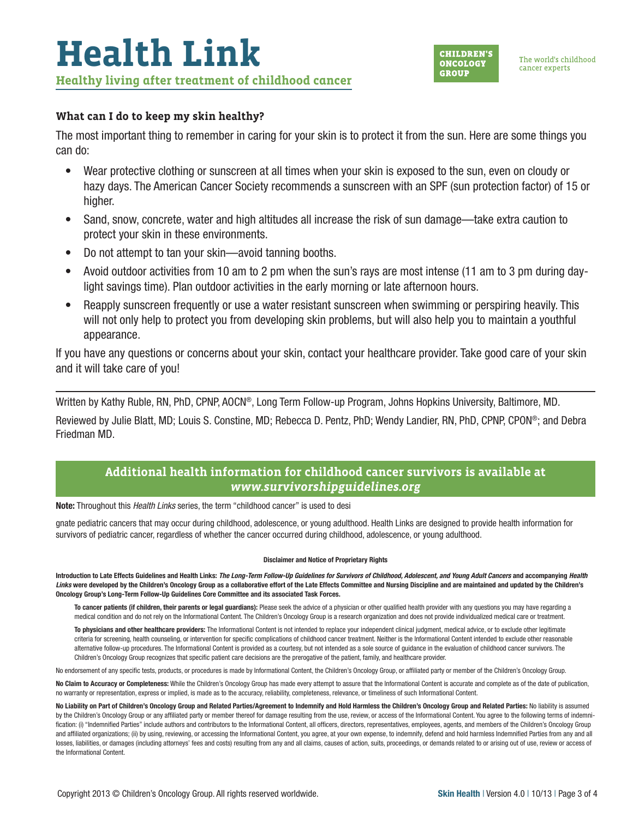#### **What can I do to keep my skin healthy?**

The most important thing to remember in caring for your skin is to protect it from the sun. Here are some things you can do:

- Wear protective clothing or sunscreen at all times when your skin is exposed to the sun, even on cloudy or hazy days. The American Cancer Society recommends a sunscreen with an SPF (sun protection factor) of 15 or higher.
- Sand, snow, concrete, water and high altitudes all increase the risk of sun damage—take extra caution to protect your skin in these environments.
- Do not attempt to tan your skin—avoid tanning booths.
- Avoid outdoor activities from 10 am to 2 pm when the sun's rays are most intense (11 am to 3 pm during daylight savings time). Plan outdoor activities in the early morning or late afternoon hours.
- Reapply sunscreen frequently or use a water resistant sunscreen when swimming or perspiring heavily. This will not only help to protect you from developing skin problems, but will also help you to maintain a youthful appearance.

If you have any questions or concerns about your skin, contact your healthcare provider. Take good care of your skin and it will take care of you!

Written by Kathy Ruble, RN, PhD, CPNP, AOCN®, Long Term Follow-up Program, Johns Hopkins University, Baltimore, MD.

Reviewed by Julie Blatt, MD; Louis S. Constine, MD; Rebecca D. Pentz, PhD; Wendy Landier, RN, PhD, CPNP, CPON®; and Debra Friedman MD.

#### **Additional health information for childhood cancer survivors is available at**  *www.survivorshipguidelines.org*

Note: Throughout this *Health Links* series, the term "childhood cancer" is used to desi

gnate pediatric cancers that may occur during childhood, adolescence, or young adulthood. Health Links are designed to provide health information for survivors of pediatric cancer, regardless of whether the cancer occurred during childhood, adolescence, or young adulthood.

#### Disclaimer and Notice of Proprietary Rights

Introduction to Late Effects Guidelines and Health Links: *The Long-Term Follow-Up Guidelines for Survivors of Childhood, Adolescent, and Young Adult Cancers* and accompanying *Health*  Links were developed by the Children's Oncology Group as a collaborative effort of the Late Effects Committee and Nursing Discipline and are maintained and updated by the Children's Oncology Group's Long-Term Follow-Up Guidelines Core Committee and its associated Task Forces.

To cancer patients (if children, their parents or legal guardians): Please seek the advice of a physician or other qualified health provider with any questions you may have regarding a medical condition and do not rely on the Informational Content. The Children's Oncology Group is a research organization and does not provide individualized medical care or treatment.

To physicians and other healthcare providers: The Informational Content is not intended to replace your independent clinical judgment, medical advice, or to exclude other legitimate criteria for screening, health counseling, or intervention for specific complications of childhood cancer treatment. Neither is the Informational Content intended to exclude other reasonable alternative follow-up procedures. The Informational Content is provided as a courtesy, but not intended as a sole source of guidance in the evaluation of childhood cancer survivors. The Children's Oncology Group recognizes that specific patient care decisions are the prerogative of the patient, family, and healthcare provider.

No endorsement of any specific tests, products, or procedures is made by Informational Content, the Children's Oncology Group, or affiliated party or member of the Children's Oncology Group.

No Claim to Accuracy or Completeness: While the Children's Oncology Group has made every attempt to assure that the Informational Content is accurate and complete as of the date of publication, no warranty or representation, express or implied, is made as to the accuracy, reliability, completeness, relevance, or timeliness of such Informational Content.

No Liability on Part of Children's Oncology Group and Related Parties/Agreement to Indemnify and Hold Harmless the Children's Oncology Group and Related Parties: No liability is assumed by the Children's Oncology Group or any affiliated party or member thereof for damage resulting from the use, review, or access of the Informational Content. You agree to the following terms of indemnification: (i) "Indemnified Parties" include authors and contributors to the Informational Content, all officers, directors, representatives, employees, agents, and members of the Children's Oncology Group and affiliated organizations; (ii) by using, reviewing, or accessing the Informational Content, you agree, at your own expense, to indemnify, defend and hold harmless Indemnified Parties from any and all losses, liabilities, or damages (including attorneys' fees and costs) resulting from any and all claims, causes of action, suits, proceedings, or demands related to or arising out of use, review or access of the Informational Content.